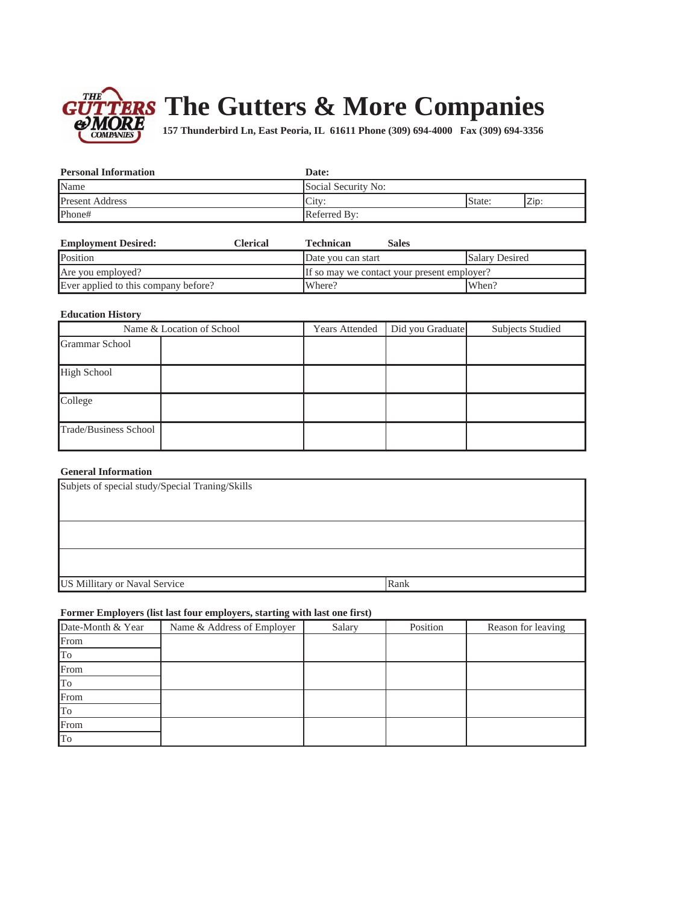

# TERS The Gutters & More Companies

157 Thunderbird Ln, East Peoria, IL 61611 Phone (309) 694-4000 Fax (309) 694-3356

| <b>Personal Information</b> | Date:               |        |      |
|-----------------------------|---------------------|--------|------|
| Name                        | Social Security No: |        |      |
| <b>Present Address</b>      | City:               | State: | Zip: |
| Phone#                      | Referred By:        |        |      |

| <b>Employment Desired:</b>           | Clerical | Technican          | <b>Sales</b>                                |                       |
|--------------------------------------|----------|--------------------|---------------------------------------------|-----------------------|
| Position                             |          | Date you can start |                                             | <b>Salary Desired</b> |
| Are you employed?                    |          |                    | If so may we contact your present employer? |                       |
| Ever applied to this company before? |          | Where?             |                                             | When?                 |

## **Education History**

| Name & Location of School |  | Years Attended | Did you Graduate | <b>Subjects Studied</b> |
|---------------------------|--|----------------|------------------|-------------------------|
| Grammar School            |  |                |                  |                         |
| <b>High School</b>        |  |                |                  |                         |
| College                   |  |                |                  |                         |
| Trade/Business School     |  |                |                  |                         |

# **General Information**

| Subjets of special study/Special Traning/Skills |      |  |  |  |
|-------------------------------------------------|------|--|--|--|
|                                                 |      |  |  |  |
|                                                 |      |  |  |  |
|                                                 |      |  |  |  |
|                                                 |      |  |  |  |
| US Millitary or Naval Service                   | Rank |  |  |  |

# Former Employers (list last four employers, starting with last one first)

| Date-Month & Year | Name & Address of Employer | Salary | Position | Reason for leaving |
|-------------------|----------------------------|--------|----------|--------------------|
| From              |                            |        |          |                    |
| To                |                            |        |          |                    |
| From              |                            |        |          |                    |
| To                |                            |        |          |                    |
| From              |                            |        |          |                    |
| To                |                            |        |          |                    |
| From              |                            |        |          |                    |
| To                |                            |        |          |                    |